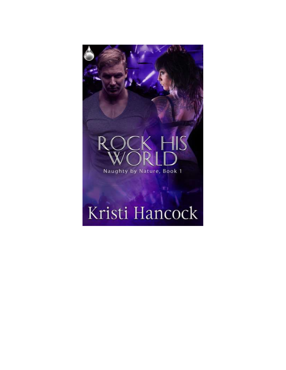

# Kristi Hancock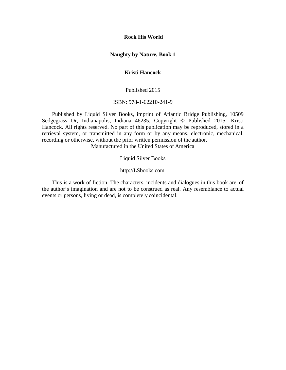**Rock His World** 

#### **Naughty by Nature, Book 1**

## **Kristi Hancock**

Published 2015

ISBN: 978-1-62210-241-9

Published by Liquid Silver Books, imprint of Atlantic Bridge Publishing, 10509 Sedgegrass Dr, Indianapolis, Indiana 46235. Copyright © Published 2015, Kristi Hancock. All rights reserved. No part of this publication may be reproduced, stored in a retrieval system, or transmitted in any form or by any means, electronic, mechanical, recording or otherwise, without the prior written permission of the author.

Manufactured in the United States of America

Liquid Silver Books

[http://LSbooks.com](http://lsbooks.com/)

This is a work of fiction. The characters, incidents and dialogues in this book are of the author's imagination and are not to be construed as real. Any resemblance to actual events or persons, living or dead, is completely coincidental.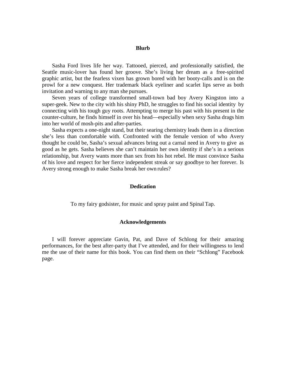#### **Blurb**

Sasha Ford lives life her way. Tattooed, pierced, and professionally satisfied, the Seattle music-lover has found her groove. She's living her dream as a free-spirited graphic artist, but the fearless vixen has grown bored with her booty-calls and is on the prowl for a new conquest. Her trademark black eyeliner and scarlet lips serve as both invitation and warning to any man she pursues.

Seven years of college transformed small-town bad boy Avery Kingston into a super-geek. New to the city with his shiny PhD, he struggles to find his social identity by connecting with his tough guy roots. Attempting to merge his past with his present in the counter-culture, he finds himself in over his head—especially when sexy Sasha drags him into her world of mosh-pits and after-parties.

Sasha expects a one-night stand, but their searing chemistry leads them in a direction she's less than comfortable with. Confronted with the female version of who Avery thought he could be, Sasha's sexual advances bring out a carnal need in Avery to give as good as he gets. Sasha believes she can't maintain her own identity if she's in a serious relationship, but Avery wants more than sex from his hot rebel. He must convince Sasha of his love and respect for her fierce independent streak or say goodbye to her forever. Is Avery strong enough to make Sasha break her own rules?

#### **Dedication**

To my fairy godsister, for music and spray paint and Spinal Tap.

#### **Acknowledgements**

I will forever appreciate Gavin, Pat, and Dave of Schlong for their amazing performances, for the best after-party that I've attended, and for their willingness to lend me the use of their name for this book. You can find them on their "Schlong" Facebook page.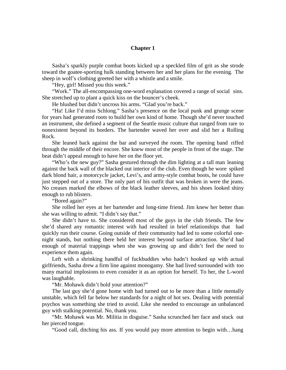#### **Chapter 1**

Sasha's sparkly purple combat boots kicked up a speckled film of grit as she strode toward the goatee-sporting hulk standing between her and her plans for the evening. The sheep in wolf's clothing greeted her with a whistle and a smile.

"Hey, girl! Missed you this week."

"Work." The all-encompassing one-word explanation covered a range of social sins. She stretched up to plant a quick kiss on the bouncer's cheek.

He blushed but didn't uncross his arms. "Glad you're back."

"Ha! Like I'd miss Schlong." Sasha's presence on the local punk and grunge scene for years had generated roots to build her own kind of home. Though she'd never touched an instrument, she defined a segment of the Seattle music culture that ranged from rare to nonexistent beyond its borders. The bartender waved her over and slid her a Rolling Rock.

She leaned back against the bar and surveyed the room. The opening band riffed through the middle of their encore. She knew most of the people in front of the stage. The beat didn't appeal enough to have her on the floor yet.

"Who's the new guy?" Sasha gestured through the dim lighting at a tall man leaning against the back wall of the blacked out interior of the club. Even though he wore spiked dark blond hair, a motorcycle jacket, Levi's, and army-style combat boots, he could have just stepped out of a store. The only part of his outfit that was broken in were the jeans. No creases marked the elbows of the black leather sleeves, and his shoes looked shiny enough to rub blisters.

"Bored again?"

She rolled her eyes at her bartender and long-time friend. Jim knew her better than she was willing to admit. "I didn't say that."

She didn't have to. She considered most of the guys in the club friends. The few she'd shared any romantic interest with had resulted in brief relationships that had quickly run their course. Going outside of their community had led to some colorful onenight stands, but nothing there held her interest beyond surface attraction. She'd had enough of material trappings when she was growing up and didn't feel the need to experience them again.

Left with a shrinking handful of fuckbuddies who hadn't hooked up with actual girlfriends, Sasha drew a firm line against monogamy. She had lived surrounded with too many marital implosions to even consider it as an option for herself. To her, the L-word was laughable.

"Mr. Mohawk didn't hold your attention?"

The last guy she'd gone home with had turned out to be more than a little mentally unstable, which fell far below her standards for a night of hot sex. Dealing with potential psychos was something she tried to avoid. Like she needed to encourage an unbalanced guy with stalking potential. No, thank you.

"Mr. Mohawk was Mr. Militia in disguise." Sasha scrunched her face and stuck out her pierced tongue.

"Good call, ditching his ass. If you would pay more attention to begin with…hang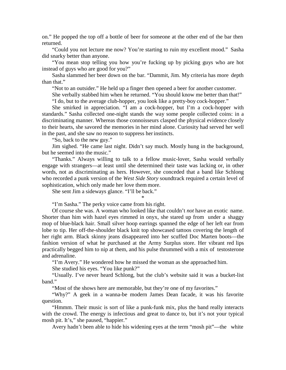on." He popped the top off a bottle of beer for someone at the other end of the bar then returned.

"Could you not lecture me now? You're starting to ruin my excellent mood." Sasha did snarky better than anyone.

"You mean stop telling you how you're fucking up by picking guys who are hot instead of guys who are good for you?"

Sasha slammed her beer down on the bar. "Dammit, Jim. My criteria has more depth than that."

"Not to an outsider." He held up a finger then opened a beer for another customer.

She verbally stabbed him when he returned. "You should know me better than that!" "I do, but to the average club-hopper, you look like a pretty-boy cock-hopper."

She smirked in appreciation. "I am a cock-hopper, but I'm a cock-hopper with standards." Sasha collected one-night stands the way some people collected coins: in a discriminating manner. Whereas those connoisseurs clasped the physical evidence closely to their hearts, she savored the memories in her mind alone. Curiosity had served her well in the past, and she saw no reason to suppress herinstincts.

"So, back to the new guy."

Jim sighed. "He came last night. Didn't say much. Mostly hung in the background, but he seemed into the music."

"Thanks." Always willing to talk to a fellow music-lover, Sasha would verbally engage with strangers—at least until she determined their taste was lacking or, in other words, not as discriminating as hers. However, she conceded that a band like Schlong who recorded a punk version of the *West Side Story* soundtrack required a certain level of sophistication, which only made her love them more.

\*

She sent Jim a sideways glance. "I'll be back."

"I'm Sasha." The perky voice came from his right.

Of course she was. A woman who looked like that couldn't *not* have an exotic name. Shorter than him with hazel eyes rimmed in onyx, she stared up from under a shaggy mop of blue-black hair. Small silver hoop earrings spanned the edge of her left ear from lobe to tip. Her off-the-shoulder black knit top showcased tattoos covering the length of her right arm. Black skinny jeans disappeared into her scuffed Doc Marten boots—the fashion version of what he purchased at the Army Surplus store. Her vibrant red lips practically begged him to nip at them, and his pulse thrummed with a mix of testosterone and adrenaline.

"I'm Avery." He wondered how he missed the woman as she approached him.

She studied his eyes. "You like punk?"

"Usually. I've never heard Schlong, but the club's website said it was a bucket-list band."

"Most of the shows here are memorable, but they're one of my favorites."

"Why?" A geek in a wanna-be modern James Dean facade, it was his favorite question.

"Hmmm. Their music is sort of like a punk-funk mix, plus the band really interacts with the crowd. The energy is infectious and great to dance to, but it's not your typical mosh pit. It's," she paused, "happier."

Avery hadn't been able to hide his widening eyes at the term "mosh pit"—the white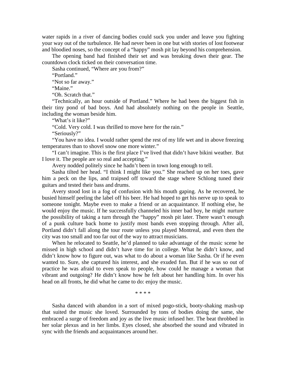water rapids in a river of dancing bodies could suck you under and leave you fighting your way out of the turbulence. He had never been in one but with stories of lost footwear and bloodied noses, so the concept of a "happy" mosh pit lay beyond his comprehension.

The opening band had finished their set and was breaking down their gear. The countdown clock ticked on their conversation time.

Sasha continued, "Where are you from?"

"Portland."

"Not so far away."

"Maine."

"Oh. Scratch that."

"Technically, an hour outside of Portland." Where he had been the biggest fish in their tiny pond of bad boys. And had absolutely nothing on the people in Seattle, including the woman beside him.

"What's it like?"

"Cold. Very cold. I was thrilled to move here for the rain."

"Seriously?"

"You have no idea. I would rather spend the rest of my life wet and in above freezing temperatures than to shovel snow one more winter."

"I can't imagine. This is the first place I've lived that didn't have bikini weather. But I love it. The people are so real and accepting."

Avery nodded politely since he hadn't been in town long enough to tell.

Sasha tilted her head. "I think I might like you." She reached up on her toes, gave him a peck on the lips, and traipsed off toward the stage where Schlong tuned their guitars and tested their bass and drums.

Avery stood lost in a fog of confusion with his mouth gaping. As he recovered, he busied himself peeling the label off his beer. He had hoped to get his nerve up to speak to someone tonight. Maybe even to make a friend or an acquaintance. If nothing else, he would enjoy the music. If he successfully channeled his inner bad boy, he might nurture the possibility of taking a turn through the "happy" mosh pit later. There wasn't enough of a punk culture back home to justify most bands even stopping through. After all, Portland didn't fall along the tour route unless you played Montreal, and even then the city was too small and too far out of the way to attract musicians.

When he relocated to Seattle, he'd planned to take advantage of the music scene he missed in high school and didn't have time for in college. What he didn't know, and didn't know how to figure out, was what to do about a woman like Sasha. Or if he even wanted to. Sure, she captured his interest, and she exuded fun. But if he was so out of practice he was afraid to even speak to people, how could he manage a woman that vibrant and outgoing? He didn't know how he felt about her handling him. In over his head on all fronts, he did what he came to do: enjoy the music.

\* \* \* \*

Sasha danced with abandon in a sort of mixed pogo-stick, booty-shaking mash-up that suited the music she loved. Surrounded by tons of bodies doing the same, she embraced a surge of freedom and joy as the live music infused her. The beat throbbed in her solar plexus and in her limbs. Eyes closed, she absorbed the sound and vibrated in sync with the friends and acquaintances around her.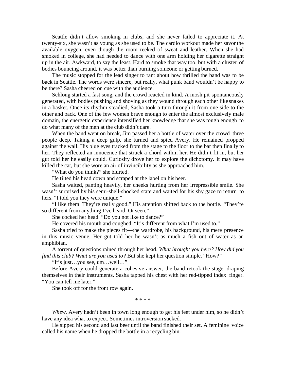Seattle didn't allow smoking in clubs, and she never failed to appreciate it. At twenty-six, she wasn't as young as she used to be. The cardio workout made her savor the available oxygen, even though the room reeked of sweat and leather. When she had smoked in college, she had needed to dance with one arm holding her cigarette straight up in the air. Awkward, to say the least. Hard to smoke that way too, but with a cluster of bodies bouncing around, it was better than burning someone or getting burned.

The music stopped for the lead singer to rant about how thrilled the band was to be back in Seattle. The words were sincere, but really, what punk band wouldn't be happy to be there? Sasha cheered on cue with the audience.

Schlong started a fast song, and the crowd reacted in kind. A mosh pit spontaneously generated, with bodies pushing and shoving as they wound through each other like snakes in a basket. Once its rhythm steadied, Sasha took a turn through it from one side to the other and back. One of the few women brave enough to enter the almost exclusively male domain, the energetic experience intensified her knowledge that she was tough enough to do what many of the men at the club didn't dare.

When the band went on break, Jim passed her a bottle of water over the crowd three people deep. Taking a deep gulp, she turned and spied Avery. He remained propped against the wall. His blue eyes tracked from the stage to the floor to the bar then finally to her. They reflected an innocence that struck a chord within her. He didn't fit in, but her gut told her he easily could. Curiosity drove her to explore the dichotomy. It may have killed the cat, but she wore an air of invincibility as she approached him.

"What do you think?" she blurted.

He tilted his head down and scraped at the label on his beer.

Sasha waited, panting heavily, her cheeks hurting from her irrepressible smile. She wasn't surprised by his semi-shell-shocked state and waited for his shy gaze to return to hers. "I told you they were unique."

"I like them. They're really good." His attention shifted back to the bottle. "They're so different from anything I've heard. Or seen."

She cocked her head. "Do you not like to dance?"

He covered his mouth and coughed. "It's different from what I'm used to."

Sasha tried to make the pieces fit—the wardrobe, his background, his mere presence in this music venue. Her gut told her he wasn't as much a fish out of water as an amphibian.

A torrent of questions rained through her head. *What brought you here? How did you find this club? What are you used to?* But she kept her question simple. "How?"

"It's just…you see, um…well…"

Before Avery could generate a cohesive answer, the band retook the stage, draping themselves in their instruments. Sasha tapped his chest with her red-tipped index finger. "You can tell me later."

She took off for the front row again.

\* \* \* \*

*Whew.* Avery hadn't been in town long enough to get his feet under him, so he didn't have any idea what to expect. Sometimes introversion sucked.

He sipped his second and last beer until the band finished their set. A feminine voice called his name when he dropped the bottle in a recycling bin.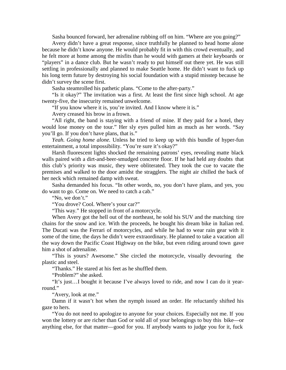Sasha bounced forward, her adrenaline rubbing off on him. "Where are you going?"

Avery didn't have a great response, since truthfully he planned to head home alone because he didn't know anyone. He would probably fit in with this crowd eventually, and he felt more at home among the misfits than he would with gamers at their keyboards or "players" in a dance club. But he wasn't ready to put himself out there yet. He was still settling in professionally and planned to make Seattle home. He didn't want to fuck up his long term future by destroying his social foundation with a stupid misstep because he didn't survey the scene first.

Sasha steamrolled his pathetic plans. "Come to the after-party."

"Is it okay?" The invitation was a first. At least the first since high school. At age twenty-five, the insecurity remained unwelcome.

"If you know where it is, you're invited. And I know where it is."

Avery creased his brow in a frown.

"All right, the band is staying with a friend of mine. If they paid for a hotel, they would lose money on the tour." Her sly eyes pulled him as much as her words. "Say you'll go. If you don't have plans, that is."

*Yeah. Going home alone.* Unless he tried to keep up with this bundle of hyper-fun entertainment, a total impossibility. "You're sure it's okay?"

Harsh fluorescent lights shocked the remaining patrons' eyes, revealing matte black walls paired with a dirt-and-beer-smudged concrete floor. If he had held any doubts that this club's priority was music, they were obliterated. They took the cue to vacate the premises and walked to the door amidst the stragglers. The night air chilled the back of her neck which remained damp with sweat.

Sasha demanded his focus. "In other words, no, you don't have plans, and yes, you do want to go. Come on. We need to catch a cab."

"No, we don't."

"You drove? Cool. Where's your car?"

"This way." He stopped in front of a motorcycle.

When Avery got the hell out of the northeast, he sold his SUV and the matching tire chains for the snow and ice. With the proceeds, he bought his dream bike in Italian red. The Ducati was the Ferrari of motorcycles, and while he had to wear rain gear with it some of the time, the days he didn't were extraordinary. He planned to take a vacation all the way down the Pacific Coast Highway on the bike, but even riding around town gave him a shot of adrenaline.

"This is yours? Awesome." She circled the motorcycle, visually devouring the plastic and steel.

"Thanks." He stared at his feet as he shuffled them.

"Problem?" she asked.

"It's just…I bought it because I've always loved to ride, and now I can do it yearround."

"Avery, look at me."

Damn if it wasn't hot when the nymph issued an order. He reluctantly shifted his gaze to hers.

"You do not need to apologize to anyone for your choices. Especially not me. If you won the lottery or are richer than God or sold all of your belongings to buy this bike—or anything else, for that matter—good for you. If anybody wants to judge you for it, fuck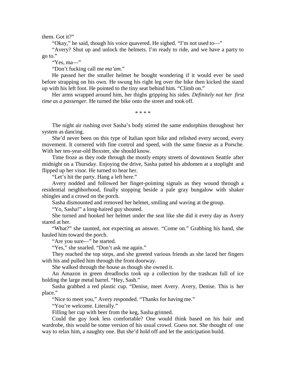them. Got it?"

"Okay," he said, though his voice quavered. He sighed. "I'm not used to—"

"Avery? Shut up and unlock the helmets. I'm ready to ride, and we have a party to go to."

"Yes, ma—"

"Don't fucking call me *ma'am*."

He passed her the smaller helmet he bought wondering if it would ever be used before strapping on his own. He swung his right leg over the bike then kicked the stand up with his left foot. He pointed to the tiny seat behind him. "Climb on."

Her arms wrapped around him, her thighs gripping his sides. *Definitely not her first time as a passenger.* He turned the bike onto the street and took off.

\* \* \* \*

The night air rushing over Sasha's body stirred the same endorphins throughout her system as dancing.

She'd never been on this type of Italian sport bike and relished every second, every movement. It cornered with fine control and speed, with the same finesse as a Porsche. With her ten-year-old Boxster, she should know.

Time froze as they rode through the mostly empty streets of downtown Seattle after midnight on a Thursday. Enjoying the drive, Sasha patted his abdomen at a stoplight and flipped up her visor. He turned to hear her.

"Let's hit the party. Hang a left here."

Avery nodded and followed her finger-pointing signals as they wound through a residential neighborhood, finally stopping beside a pale gray bungalow with shaker shingles and a crowd on the porch.

Sasha dismounted and removed her helmet, smiling and waving at the group.

"Yo, Sasha!" a long-haired guy shouted.

She turned and hooked her helmet under the seat like she did it every day as Avery stared at her.

"What?" she taunted, not expecting an answer. "Come on." Grabbing his hand, she hauled him toward the porch.

"Are you sure—" he started.

"Yes," she snarled. "Don't ask me again."

They reached the top steps, and she greeted various friends as she laced her fingers with his and pulled him through the front doorway.

She walked through the house as though she owned it.

An Amazon in green dreadlocks took up a collection by the trashcan full of ice holding the large metal barrel. "Hey, Sash."

Sasha grabbed a red plastic cup. "Denise, meet Avery. Avery, Denise. This is her place."

"Nice to meet you," Avery responded. "Thanks for having me."

"You're welcome. Literally."

Filling her cup with beer from the keg, Sasha grinned.

Could the guy look less comfortable? One would think based on his hair and wardrobe, this would be some version of his usual crowd. Guess not. She thought of one way to relax him, a naughty one. But she'd hold off and let the anticipation build.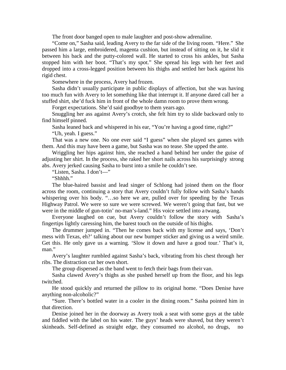The front door banged open to male laughter and post-show adrenaline.

"Come on," Sasha said, leading Avery to the far side of the living room. "Here." She passed him a large, embroidered, magenta cushion, but instead of sitting on it, he slid it between his back and the putty-colored wall. He started to cross his ankles, but Sasha stopped him with her boot. "That's my spot." She spread his legs with her feet and dropped into a cross-legged position between his thighs and settled her back against his rigid chest.

Somewhere in the process, Avery had frozen.

Sasha didn't usually participate in public displays of affection, but she was having too much fun with Avery to let something like that interrupt it. If anyone dared call her a stuffed shirt, she'd fuck him in front of the whole damn room to prove them wrong.

Forget expectations. She'd said goodbye to them years ago.

Snuggling her ass against Avery's crotch, she felt him try to slide backward only to find himself pinned.

Sasha leaned back and whispered in his ear, "You're having a good time, right?" "Uh, yeah. I guess."

That was a new one. No one ever said "I guess" when she played sex games with them. And this may have been a game, but Sasha was no tease. She upped the ante.

Wriggling her hips against him, she reached a hand behind her under the guise of adjusting her shirt. In the process, she raked her short nails across his surprisingly strong abs. Avery jerked causing Sasha to burst into a smile he couldn't see.

"Listen, Sasha. I don't—"

"Shhhh."

The blue-haired bassist and lead singer of Schlong had joined them on the floor across the room, continuing a story that Avery couldn't fully follow with Sasha's hands whispering over his body. "…so here we are, pulled over for speeding by the Texas Highway Patrol. We were so sure we were screwed. We weren't going that fast, but we were in the middle of gun-totin' no-man's-land." His voice settled into a twang.

Everyone laughed on cue, but Avery couldn't follow the story with Sasha's fingertips lightly caressing him, the barest touch on the outside of histhighs.

The drummer jumped in. "Then he comes back with my license and says, 'Don't mess with Texas, eh?' talking about our new bumper sticker and giving us a weird smile. Get this. He only gave us a warning. 'Slow it down and have a good tour.' That's it, man."

Avery's laughter rumbled against Sasha's back, vibrating from his chest through her ribs. The distraction cut her own short.

The group dispersed as the band went to fetch their bags from their van.

Sasha clawed Avery's thighs as she pushed herself up from the floor, and his legs twitched.

He stood quickly and returned the pillow to its original home. "Does Denise have anything non-alcoholic?"

"Sure. There's bottled water in a cooler in the dining room." Sasha pointed him in that direction.

Denise joined her in the doorway as Avery took a seat with some guys at the table and fiddled with the label on his water. The guys' heads were shaved, but they weren't skinheads. Self-defined as straight edge, they consumed no alcohol, no drugs, no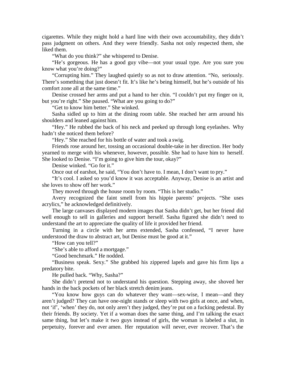cigarettes. While they might hold a hard line with their own accountability, they didn't pass judgment on others. And they were friendly. Sasha not only respected them, she liked them.

"What do you think?" she whispered to Denise.

"He's gorgeous. He has a good guy vibe—not your usual type. Are you sure you know what you're doing?"

"Corrupting him." They laughed quietly so as not to draw attention. "No, seriously. There's something that just doesn't fit. It's like he's being himself, but he's outside of his comfort zone all at the same time."

Denise crossed her arms and put a hand to her chin. "I couldn't put my finger on it, but you're right." She paused. "What are you going to do?"

"Get to know him better." She winked.

Sasha sidled up to him at the dining room table. She reached her arm around his shoulders and leaned against him.

"Hey." He rubbed the back of his neck and peeked up through long eyelashes. Why hadn't she noticed them before?

"Hey." She reached for his bottle of water and took a swig.

Friends rose around her, tossing an occasional double-take in her direction. Her body yearned to merge with his whenever, however, possible. She had to have him to herself. She looked to Denise. "I'm going to give him the tour, okay?"

Denise winked. "Go for it."

Once out of earshot, he said, "You don't have to. I mean, I don't want to pry."

"It's cool. I asked so you'd know it was acceptable. Anyway, Denise is an artist and she loves to show off her work."

They moved through the house room by room. "This is her studio."

Avery recognized the faint smell from his hippie parents' projects. "She uses acrylics," he acknowledged definitively.

The large canvases displayed modern images that Sasha didn't get, but her friend did well enough to sell in galleries and support herself. Sasha figured she didn't need to understand the art to appreciate the quality of life it provided her friend.

Turning in a circle with her arms extended, Sasha confessed, "I never have understood the draw to abstract art, but Denise must be good at it."

"How can you tell?"

"She's able to afford a mortgage."

"Good benchmark." He nodded.

"Business speak. Sexy." She grabbed his zippered lapels and gave his firm lips a predatory bite.

He pulled back. "Why, Sasha?"

She didn't pretend not to understand his question. Stepping away, she shoved her hands in the back pockets of her black stretch denim jeans.

"You know how guys can do whatever they want—sex-wise, I mean—and they aren't judged? They can have one-night stands or sleep with two girls at once, and when, not 'if', 'when' they do, not only aren't they judged, they're put on a fucking pedestal. By their friends. By society. Yet if a woman does the same thing, and I'm talking the exact same thing, but let's make it two guys instead of girls, the woman is labeled a slut, in perpetuity, forever and ever amen. Her reputation will never, ever recover. That's the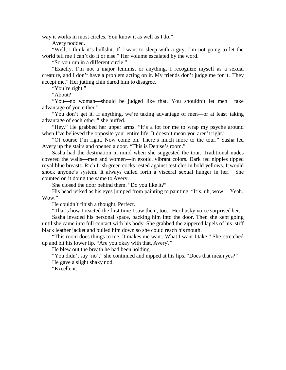way it works in most circles. You know it as well as I do."

Avery nodded.

"Well, I think it's bullshit. If I want to sleep with a guy, I'm not going to let the world tell me I can't do it or else." Her volume escalated by the word.

"So you run in a different circle."

"Exactly. I'm not a major feminist or anything. I recognize myself as a sexual creature, and I don't have a problem acting on it. My friends don't judge me for it. They accept me." Her jutting chin dared him to disagree.

"You're right."

"About?"

"You—no woman—should be judged like that. You shouldn't let men take advantage of you either."

"You don't get it. If anything, we're taking advantage of men—or at least taking advantage of each other," she huffed.

"Hey." He grabbed her upper arms. "It's a lot for me to wrap my psyche around when I've believed the opposite your entire life. It doesn't mean you aren't right."

"Of course I'm right. Now come on. There's much more to the tour." Sasha led Avery up the stairs and opened a door. "This is Denise's room."

Sasha had the destination in mind when she suggested the tour. Traditional nudes covered the walls—men and women—in exotic, vibrant colors. Dark red nipples tipped royal blue breasts. Rich Irish green cocks rested against testicles in bold yellows. It would shock anyone's system. It always called forth a visceral sexual hunger in her. She counted on it doing the same to Avery.

She closed the door behind them. "Do you like it?"

His head jerked as his eyes jumped from painting to painting. "It's, uh, wow. Yeah. Wow."

He couldn't finish a thought. Perfect.

"That's how I reacted the first time I saw them, too." Her husky voice surprised her.

Sasha invaded his personal space, backing him into the door. Then she kept going until she came into full contact with his body. She grabbed the zippered lapels of his stiff black leather jacket and pulled him down so she could reach his mouth.

"This room does things to me. It makes me want. What I want I take." She stretched up and bit his lower lip. "Are you okay with that, Avery?"

He blew out the breath he had been holding.

"You didn't say 'no'," she continued and nipped at his lips. "Does that mean yes?" He gave a slight shaky nod.

"Excellent."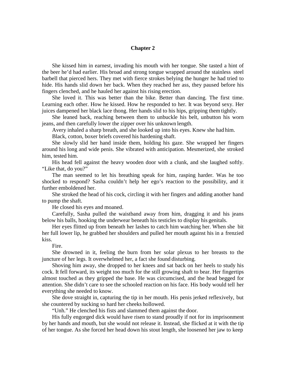#### **Chapter 2**

She kissed him in earnest, invading his mouth with her tongue. She tasted a hint of the beer he'd had earlier. His broad and strong tongue wrapped around the stainless steel barbell that pierced hers. They met with fierce strokes belying the hunger he had tried to hide. His hands slid down her back. When they reached her ass, they paused before his fingers clenched, and he hauled her against his rising erection.

She loved it. This was better than the bike. Better than dancing. The first time. Learning each other. How he kissed. How he responded to her. It was beyond sexy. Her juices dampened her black lace thong. Her hands slid to his hips, gripping themtightly.

She leaned back, reaching between them to unbuckle his belt, unbutton his worn jeans, and then carefully lower the zipper over his unknown length.

Avery inhaled a sharp breath, and she looked up into his eyes. Knew she had him.

Black, cotton, boxer briefs covered his hardening shaft.

She slowly slid her hand inside them, holding his gaze. She wrapped her fingers around his long and wide penis. She vibrated with anticipation. Mesmerized, she stroked him, tested him.

His head fell against the heavy wooden door with a clunk, and she laughed softly. "Like that, do you?"

The man seemed to let his breathing speak for him, rasping harder. Was he too shocked to respond? Sasha couldn't help her ego's reaction to the possibility, and it further emboldened her.

She stroked the head of his cock, circling it with her fingers and adding another hand to pump the shaft.

He closed his eyes and moaned.

Carefully, Sasha pulled the waistband away from him, dragging it and his jeans below his balls, hooking the underwear beneath his testicles to display his genitals.

Her eyes flitted up from beneath her lashes to catch him watching her. When she bit her full lower lip, he grabbed her shoulders and pulled her mouth against his in a frenzied kiss.

### Fire.

She drowned in it, feeling the burn from her solar plexus to her breasts to the juncture of her legs. It overwhelmed her, a fact she found disturbing.

Shoving him away, she dropped to her knees and sat back on her heels to study his cock. It fell forward, its weight too much for the still growing shaft to bear. Her fingertips almost touched as they gripped the base. He was circumcised, and the head begged for attention. She didn't care to see the schooled reaction on his face. His body would tell her everything she needed to know.

She dove straight in, capturing the tip in her mouth. His penis jerked reflexively, but she countered by sucking so hard her cheeks hollowed.

"Unh." He clenched his fists and slammed them against the door.

His fully engorged dick would have risen to stand proudly if not for its imprisonment by her hands and mouth, but she would not release it. Instead, she flicked at it with the tip of her tongue. As she forced her head down his stout length, she loosened her jaw to keep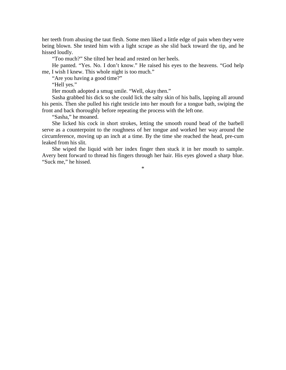her teeth from abusing the taut flesh. Some men liked a little edge of pain when they were being blown. She tested him with a light scrape as she slid back toward the tip, and he hissed loudly.

"Too much?" She tilted her head and rested on her heels.

He panted. "Yes. No. I don't know." He raised his eyes to the heavens. "God help me, I wish I knew. This whole night is too much."

"Are you having a good time?"

"Hell yes."

Her mouth adopted a smug smile. "Well, okay then."

Sasha grabbed his dick so she could lick the salty skin of his balls, lapping all around his penis. Then she pulled his right testicle into her mouth for a tongue bath, swiping the front and back thoroughly before repeating the process with the left one.

"Sasha," he moaned.

She licked his cock in short strokes, letting the smooth round bead of the barbell serve as a counterpoint to the roughness of her tongue and worked her way around the circumference, moving up an inch at a time. By the time she reached the head, pre-cum leaked from his slit.

She wiped the liquid with her index finger then stuck it in her mouth to sample. Avery bent forward to thread his fingers through her hair. His eyes glowed a sharp blue. "Suck me," he hissed.

\*